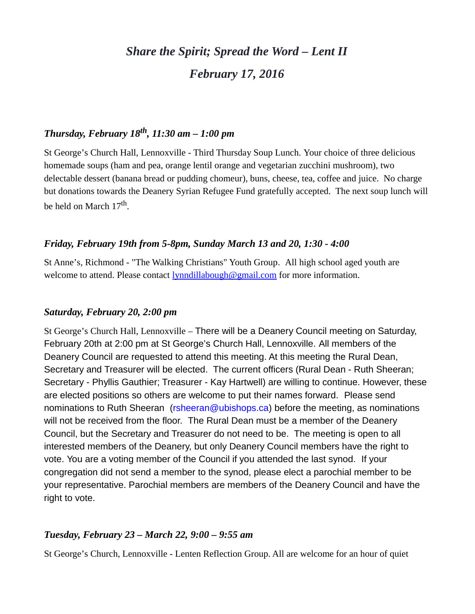# *Share the Spirit; Spread the Word – Lent II February 17, 2016*

# *Thursday, February 18th, 11:30 am – 1:00 pm*

St George's Church Hall, Lennoxville - Third Thursday Soup Lunch. Your choice of three delicious homemade soups (ham and pea, orange lentil orange and vegetarian zucchini mushroom), two delectable dessert (banana bread or pudding chomeur), buns, cheese, tea, coffee and juice. No charge but donations towards the Deanery Syrian Refugee Fund gratefully accepted. The next soup lunch will be held on March 17<sup>th</sup>.

#### *Friday, February 19th from 5-8pm, Sunday March 13 and 20, 1:30 - 4:00*

St Anne's, Richmond - "The Walking Christians" Youth Group. All high school aged youth are welcome to attend. Please contact [lynndillabough@gmail.com](mailto:lynndillabough@gmail.com) for more information.

#### *Saturday, February 20, 2:00 pm*

St George's Church Hall, Lennoxville – There will be a Deanery Council meeting on Saturday, February 20th at 2:00 pm at St George's Church Hall, Lennoxville. All members of the Deanery Council are requested to attend this meeting. At this meeting the Rural Dean, Secretary and Treasurer will be elected. The current officers (Rural Dean - Ruth Sheeran; Secretary - Phyllis Gauthier; Treasurer - Kay Hartwell) are willing to continue. However, these are elected positions so others are welcome to put their names forward. Please send nominations to Ruth Sheeran [\(rsheeran@ubishops.ca\)](mailto:rsheeran@ubishops.ca) before the meeting, as nominations will not be received from the floor. The Rural Dean must be a member of the Deanery Council, but the Secretary and Treasurer do not need to be. The meeting is open to all interested members of the Deanery, but only Deanery Council members have the right to vote. You are a voting member of the Council if you attended the last synod. If your congregation did not send a member to the synod, please elect a parochial member to be your representative. Parochial members are members of the Deanery Council and have the right to vote.

#### *Tuesday, February 23 – March 22, 9:00 – 9:55 am*

St George's Church, Lennoxville - Lenten Reflection Group. All are welcome for an hour of quiet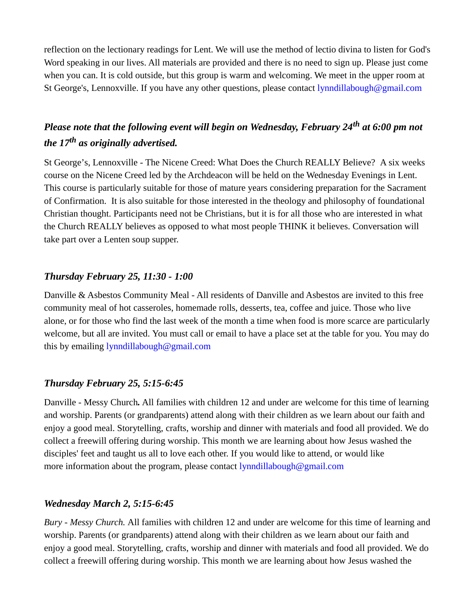reflection on the lectionary readings for Lent. We will use the method of lectio divina to listen for God's Word speaking in our lives. All materials are provided and there is no need to sign up. Please just come when you can. It is cold outside, but this group is warm and welcoming. We meet in the upper room at St George's, Lennoxville. If you have any other questions, please contact [lynndillabough@gmail.com](mailto:lynndillabough@gmail.com)

# *Please note that the following event will begin on Wednesday, February 24th at 6:00 pm not the 17th as originally advertised.*

St George's, Lennoxville - The Nicene Creed: What Does the Church REALLY Believe? A six weeks course on the Nicene Creed led by the Archdeacon will be held on the Wednesday Evenings in Lent. This course is particularly suitable for those of mature years considering preparation for the Sacrament of Confirmation. It is also suitable for those interested in the theology and philosophy of foundational Christian thought. Participants need not be Christians, but it is for all those who are interested in what the Church REALLY believes as opposed to what most people THINK it believes. Conversation will take part over a Lenten soup supper.

# *Thursday February 25, 11:30 - 1:00*

Danville & Asbestos Community Meal *-* All residents of Danville and Asbestos are invited to this free community meal of hot casseroles, homemade rolls, desserts, tea, coffee and juice. Those who live alone, or for those who find the last week of the month a time when food is more scarce are particularly welcome, but all are invited. You must call or email to have a place set at the table for you. You may do this by emailing [lynndillabough@gmail.com](mailto:lynndillabough@gmail.com)

#### *Thursday February 25, 5:15-6:45*

Danville - Messy Church*.* All families with children 12 and under are welcome for this time of learning and worship. Parents (or grandparents) attend along with their children as we learn about our faith and enjoy a good meal. Storytelling, crafts, worship and dinner with materials and food all provided. We do collect a freewill offering during worship. This month we are learning about how Jesus washed the disciples' feet and taught us all to love each other. If you would like to attend, or would like more information about the program, please contact [lynndillabough@gmail.com](mailto:lynndillabough@gmail.com)

# *Wednesday March 2, 5:15-6:45*

*Bury - Messy Church.* All families with children 12 and under are welcome for this time of learning and worship. Parents (or grandparents) attend along with their children as we learn about our faith and enjoy a good meal. Storytelling, crafts, worship and dinner with materials and food all provided. We do collect a freewill offering during worship. This month we are learning about how Jesus washed the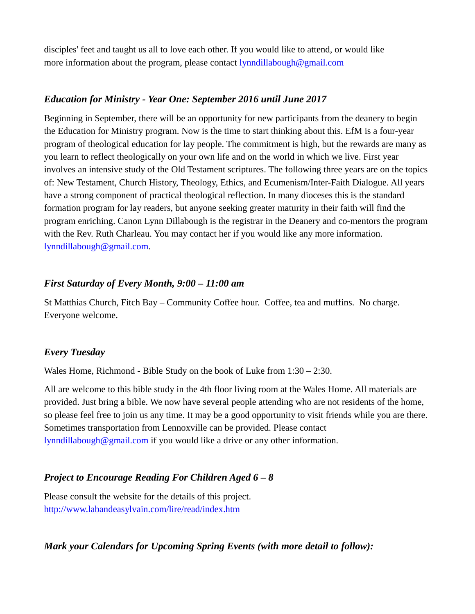disciples' feet and taught us all to love each other. If you would like to attend, or would like more information about the program, please contact [lynndillabough@gmail.com](mailto:lynndillabough@gmail.com)

## *Education for Ministry - Year One: September 2016 until June 2017*

Beginning in September, there will be an opportunity for new participants from the deanery to begin the Education for Ministry program. Now is the time to start thinking about this. EfM is a four-year program of theological education for lay people. The commitment is high, but the rewards are many as you learn to reflect theologically on your own life and on the world in which we live. First year involves an intensive study of the Old Testament scriptures. The following three years are on the topics of: New Testament, Church History, Theology, Ethics, and Ecumenism/Inter-Faith Dialogue. All years have a strong component of practical theological reflection. In many dioceses this is the standard formation program for lay readers, but anyone seeking greater maturity in their faith will find the program enriching. Canon Lynn Dillabough is the registrar in the Deanery and co-mentors the program with the Rev. Ruth Charleau. You may contact her if you would like any more information. [lynndillabough@gmail.com.](mailto:lynndillabough@gmail.com)

## *First Saturday of Every Month, 9:00 – 11:00 am*

St Matthias Church, Fitch Bay – Community Coffee hour. Coffee, tea and muffins. No charge. Everyone welcome.

#### *Every Tuesday*

Wales Home, Richmond - Bible Study on the book of Luke from 1:30 – 2:30.

All are welcome to this bible study in the 4th floor living room at the Wales Home. All materials are provided. Just bring a bible. We now have several people attending who are not residents of the home, so please feel free to join us any time. It may be a good opportunity to visit friends while you are there. Sometimes transportation from Lennoxville can be provided. Please contact [lynndillabough@gmail.com](mailto:lynndillabough@gmail.com) if you would like a drive or any other information.

# *Project to Encourage Reading For Children Aged 6 – 8*

Please consult the website for the details of this project. <http://www.labandeasylvain.com/lire/read/index.htm>

# *Mark your Calendars for Upcoming Spring Events (with more detail to follow):*